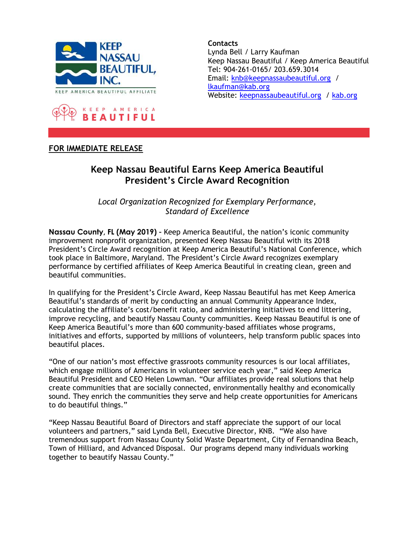



**Contacts** Lynda Bell / Larry Kaufman Keep Nassau Beautiful / Keep America Beautiful Tel: 904-261-0165/ 203.659.3014 Email: knb@keepnassaubeautiful.org / lkaufman@kab.org Website: keepnassaubeautiful.org / kab.org

## FOR IMMEDIATE RELEASE

## Keep Nassau Beautiful Earns Keep America Beautiful President's Circle Award Recognition

Local Organization Recognized for Exemplary Performance, Standard of Excellence

Nassau County, FL (May 2019) – Keep America Beautiful, the nation's iconic community improvement nonprofit organization, presented Keep Nassau Beautiful with its 2018 President's Circle Award recognition at Keep America Beautiful's National Conference, which took place in Baltimore, Maryland. The President's Circle Award recognizes exemplary performance by certified affiliates of Keep America Beautiful in creating clean, green and beautiful communities.

In qualifying for the President's Circle Award, Keep Nassau Beautiful has met Keep America Beautiful's standards of merit by conducting an annual Community Appearance Index, calculating the affiliate's cost/benefit ratio, and administering initiatives to end littering, improve recycling, and beautify Nassau County communities. Keep Nassau Beautiful is one of Keep America Beautiful's more than 600 community-based affiliates whose programs, initiatives and efforts, supported by millions of volunteers, help transform public spaces into beautiful places.

"One of our nation's most effective grassroots community resources is our local affiliates, which engage millions of Americans in volunteer service each year," said Keep America Beautiful President and CEO Helen Lowman. "Our affiliates provide real solutions that help create communities that are socially connected, environmentally healthy and economically sound. They enrich the communities they serve and help create opportunities for Americans to do beautiful things."

"Keep Nassau Beautiful Board of Directors and staff appreciate the support of our local volunteers and partners," said Lynda Bell, Executive Director, KNB. "We also have tremendous support from Nassau County Solid Waste Department, City of Fernandina Beach, Town of Hilliard, and Advanced Disposal. Our programs depend many individuals working together to beautify Nassau County."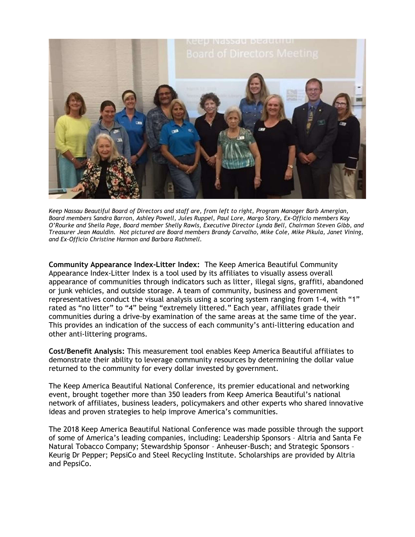

Keep Nassau Beautiful Board of Directors and staff are, from left to right, Program Manager Barb Amergian, Board members Sandra Barron, Ashley Powell, Jules Ruppel, Paul Lore, Margo Story, Ex-Officio members Kay O'Rourke and Sheila Page, Board member Shelly Rawls, Executive Director Lynda Bell, Chairman Steven Gibb, and Treasurer Jean Mauldin. Not pictured are Board members Brandy Carvalho, Mike Cole, Mike Pikula, Janet Vining, and Ex-Officio Christine Harmon and Barbara Rathmell.

Community Appearance Index-Litter Index: The Keep America Beautiful Community Appearance Index-Litter Index is a tool used by its affiliates to visually assess overall appearance of communities through indicators such as litter, illegal signs, graffiti, abandoned or junk vehicles, and outside storage. A team of community, business and government representatives conduct the visual analysis using a scoring system ranging from 1-4, with "1" rated as "no litter" to "4" being "extremely littered." Each year, affiliates grade their communities during a drive-by examination of the same areas at the same time of the year. This provides an indication of the success of each community's anti-littering education and other anti-littering programs.

Cost/Benefit Analysis: This measurement tool enables Keep America Beautiful affiliates to demonstrate their ability to leverage community resources by determining the dollar value returned to the community for every dollar invested by government.

The Keep America Beautiful National Conference, its premier educational and networking event, brought together more than 350 leaders from Keep America Beautiful's national network of affiliates, business leaders, policymakers and other experts who shared innovative ideas and proven strategies to help improve America's communities.

The 2018 Keep America Beautiful National Conference was made possible through the support of some of America's leading companies, including: Leadership Sponsors – Altria and Santa Fe Natural Tobacco Company; Stewardship Sponsor – Anheuser-Busch; and Strategic Sponsors – Keurig Dr Pepper; PepsiCo and Steel Recycling Institute. Scholarships are provided by Altria and PepsiCo.